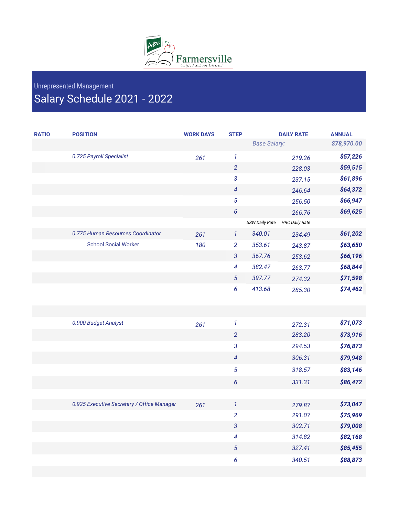

## Unrepresented Management Salary Schedule 2021 - 2022

| <b>RATIO</b> | <b>POSITION</b>                            | <b>WORK DAYS</b> | <b>STEP</b>              |                     | <b>DAILY RATE</b>     | <b>ANNUAL</b> |
|--------------|--------------------------------------------|------------------|--------------------------|---------------------|-----------------------|---------------|
|              |                                            |                  |                          | <b>Base Salary:</b> |                       | \$78,970.00   |
|              | 0.725 Payroll Specialist                   | 261              | $\mathbf{1}$             |                     | 219.26                | \$57,226      |
|              |                                            |                  | $\overline{2}$           |                     | 228.03                | \$59,515      |
|              |                                            |                  | 3                        |                     | 237.15                | \$61,896      |
|              |                                            |                  | $\overline{\mathcal{A}}$ |                     | 246.64                | \$64,372      |
|              |                                            |                  | 5                        |                     | 256.50                | \$66,947      |
|              |                                            |                  | 6                        |                     | 266.76                | \$69,625      |
|              |                                            |                  |                          | SSW Daily Rate      | <b>HRC Daily Rate</b> |               |
|              | 0.775 Human Resources Coordinator          | 261              | $\mathcal{I}$            | 340.01              | 234.49                | \$61,202      |
|              | <b>School Social Worker</b>                | 180              | $\overline{2}$           | 353.61              | 243.87                | \$63,650      |
|              |                                            |                  | $\mathfrak{3}$           | 367.76              | 253.62                | \$66,196      |
|              |                                            |                  | 4                        | 382.47              | 263.77                | \$68,844      |
|              |                                            |                  | $\sqrt{5}$               | 397.77              | 274.32                | \$71,598      |
|              |                                            |                  | 6                        | 413.68              | 285.30                | \$74,462      |
|              |                                            |                  |                          |                     |                       |               |
|              |                                            |                  |                          |                     |                       |               |
|              | 0.900 Budget Analyst                       | 261              | $\boldsymbol{1}$         |                     | 272.31                | \$71,073      |
|              |                                            |                  | $\overline{2}$           |                     | 283.20                | \$73,916      |
|              |                                            |                  | 3                        |                     | 294.53                | \$76,873      |
|              |                                            |                  | $\overline{4}$           |                     | 306.31                | \$79,948      |
|              |                                            |                  | 5                        |                     | 318.57                | \$83,146      |
|              |                                            |                  | 6                        |                     | 331.31                | \$86,472      |
|              |                                            |                  |                          |                     |                       |               |
|              | 0.925 Executive Secretary / Office Manager | 261              | $\mathcal{I}$            |                     | 279.87                | \$73,047      |
|              |                                            |                  | $\overline{c}$           |                     | 291.07                | \$75,969      |
|              |                                            |                  | $\overline{3}$           |                     | 302.71                | \$79,008      |
|              |                                            |                  | $\overline{\mathcal{A}}$ |                     | 314.82                | \$82,168      |
|              |                                            |                  | $\sqrt{5}$               |                     | 327.41                | \$85,455      |
|              |                                            |                  | 6                        |                     | 340.51                | \$88,873      |
|              |                                            |                  |                          |                     |                       |               |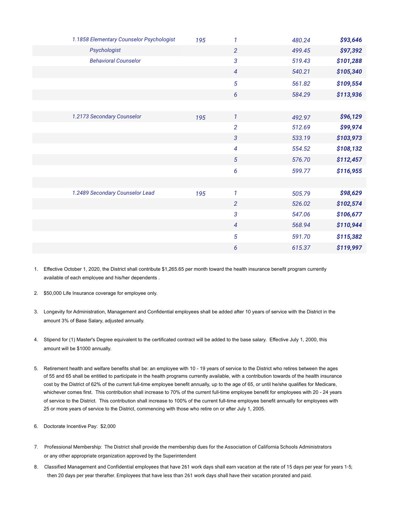| 1.1858 Elementary Counselor Psychologist | 195 | $\mathbf{1}$             | 480.24 | \$93,646  |
|------------------------------------------|-----|--------------------------|--------|-----------|
| Psychologist                             |     | $\overline{2}$           | 499.45 | \$97,392  |
| <b>Behavioral Counselor</b>              |     | $\mathfrak{3}$           | 519.43 | \$101,288 |
|                                          |     | $\overline{4}$           | 540.21 | \$105,340 |
|                                          |     | $\sqrt{5}$               | 561.82 | \$109,554 |
|                                          |     | $\boldsymbol{6}$         | 584.29 | \$113,936 |
|                                          |     |                          |        |           |
| 1.2173 Secondary Counselor               | 195 | $\mathbf{1}$             | 492.97 | \$96,129  |
|                                          |     | $\overline{2}$           | 512.69 | \$99,974  |
|                                          |     | $\mathfrak{3}$           | 533.19 | \$103,973 |
|                                          |     | $\overline{\mathcal{A}}$ | 554.52 | \$108,132 |
|                                          |     | $\sqrt{5}$               | 576.70 | \$112,457 |
|                                          |     | 6                        | 599.77 | \$116,955 |
|                                          |     |                          |        |           |
| 1.2489 Secondary Counselor Lead          | 195 | $\mathbf{1}$             | 505.79 | \$98,629  |
|                                          |     | $\overline{2}$           | 526.02 | \$102,574 |
|                                          |     | $\mathfrak{3}$           | 547.06 | \$106,677 |
|                                          |     | $\overline{4}$           | 568.94 | \$110,944 |
|                                          |     | $\overline{5}$           | 591.70 | \$115,382 |
|                                          |     | 6                        | 615.37 | \$119,997 |

- 1. Effective October 1, 2020, the District shall contribute \$1,265.65 per month toward the health insurance benefit program currently available of each employee and his/her dependents .
- 2. \$50,000 Life Insurance coverage for employee only.
- 3. Longevity for Administration, Management and Confidential employees shall be added after 10 years of service with the District in the amount 3% of Base Salary, adjusted annually.
- 4. Stipend for (1) Master's Degree equivalent to the certificated contract will be added to the base salary. Effective July 1, 2000, this amount will be \$1000 annually.
- 5. Retirement health and welfare benefits shall be: an employee with 10 19 years of service to the District who retires between the ages of 55 and 65 shall be entitled to participate in the health programs currently available, with a contribution towards of the health insurance cost by the District of 62% of the current full-time employee benefit annually, up to the age of 65, or until he/she qualifies for Medicare, whichever comes first. This contribution shall increase to 70% of the current full-time employee benefit for employees with 20 - 24 years of service to the District. This contribution shall increase to 100% of the current full-time employee benefit annually for employees with 25 or more years of service to the District, commencing with those who retire on or after July 1, 2005.
- 6. Doctorate Incentive Pay: \$2,000
- 7. Professional Membership: The District shall provide the membership dues for the Association of California Schools Administrators or any other appropriate organization approved by the Superintendent
- 8. Classified Management and Confidential employees that have 261 work days shall earn vacation at the rate of 15 days per year for years 1-5; then 20 days per year therafter. Employees that have less than 261 work days shall have their vacation prorated and paid.